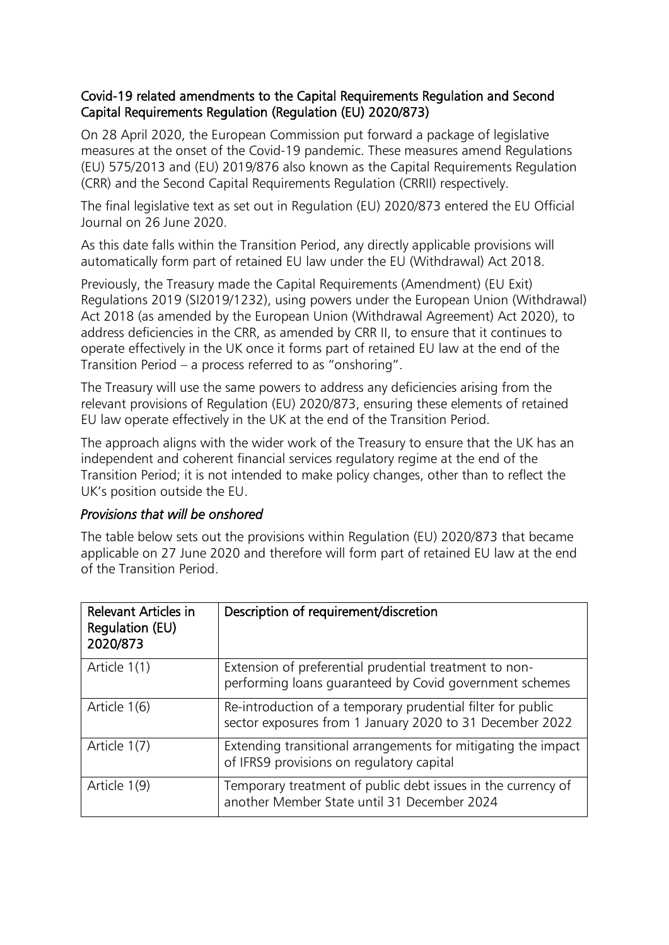## Covid-19 related amendments to the Capital Requirements Regulation and Second Capital Requirements Regulation (Regulation (EU) 2020/873)

On 28 April 2020, the European Commission put forward a package of legislative measures at the onset of the Covid-19 pandemic. These measures amend Regulations (EU) 575/2013 and (EU) 2019/876 also known as the Capital Requirements Regulation (CRR) and the Second Capital Requirements Regulation (CRRII) respectively.

The final legislative text as set out in Regulation (EU) 2020/873 entered the EU Official Journal on 26 June 2020.

As this date falls within the Transition Period, any directly applicable provisions will automatically form part of retained EU law under the EU (Withdrawal) Act 2018.

Previously, the Treasury made the Capital Requirements (Amendment) (EU Exit) Regulations 2019 (SI2019/1232), using powers under the European Union (Withdrawal) Act 2018 (as amended by the European Union (Withdrawal Agreement) Act 2020), to address deficiencies in the CRR, as amended by CRR II, to ensure that it continues to operate effectively in the UK once it forms part of retained EU law at the end of the Transition Period – a process referred to as "onshoring".

The Treasury will use the same powers to address any deficiencies arising from the relevant provisions of Regulation (EU) 2020/873, ensuring these elements of retained EU law operate effectively in the UK at the end of the Transition Period.

The approach aligns with the wider work of the Treasury to ensure that the UK has an independent and coherent financial services regulatory regime at the end of the Transition Period; it is not intended to make policy changes, other than to reflect the UK's position outside the EU.

## *Provisions that will be onshored*

The table below sets out the provisions within Regulation (EU) 2020/873 that became applicable on 27 June 2020 and therefore will form part of retained EU law at the end of the Transition Period.

| <b>Relevant Articles in</b><br>Regulation (EU)<br>2020/873 | Description of requirement/discretion                                                                                   |
|------------------------------------------------------------|-------------------------------------------------------------------------------------------------------------------------|
| Article 1(1)                                               | Extension of preferential prudential treatment to non-<br>performing loans quaranteed by Covid government schemes       |
| Article 1(6)                                               | Re-introduction of a temporary prudential filter for public<br>sector exposures from 1 January 2020 to 31 December 2022 |
| Article 1(7)                                               | Extending transitional arrangements for mitigating the impact<br>of IFRS9 provisions on regulatory capital              |
| Article 1(9)                                               | Temporary treatment of public debt issues in the currency of<br>another Member State until 31 December 2024             |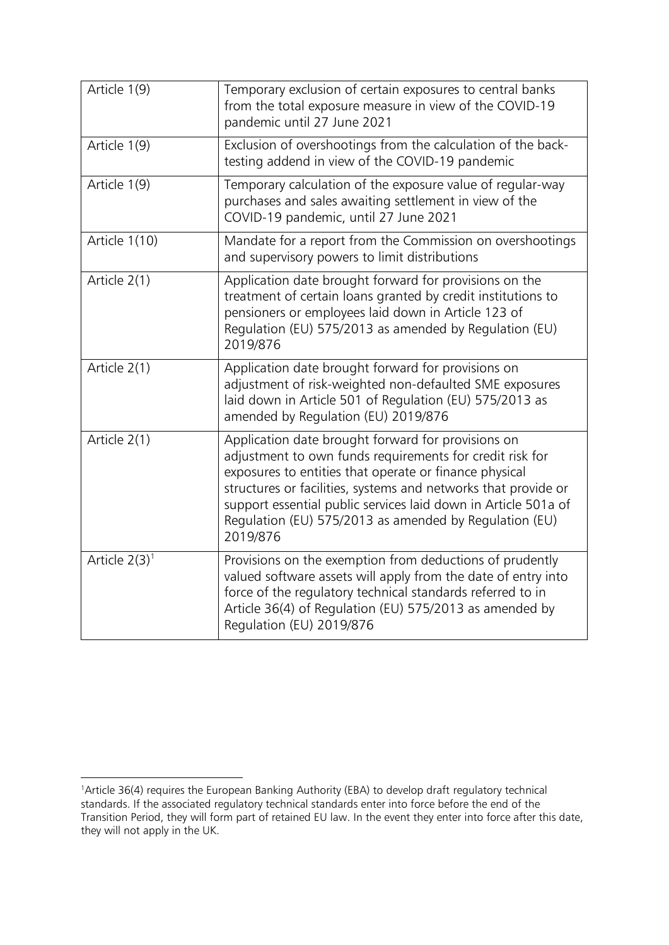| Article 1(9)     | Temporary exclusion of certain exposures to central banks<br>from the total exposure measure in view of the COVID-19<br>pandemic until 27 June 2021                                                                                                                                                                                                                                |
|------------------|------------------------------------------------------------------------------------------------------------------------------------------------------------------------------------------------------------------------------------------------------------------------------------------------------------------------------------------------------------------------------------|
| Article 1(9)     | Exclusion of overshootings from the calculation of the back-<br>testing addend in view of the COVID-19 pandemic                                                                                                                                                                                                                                                                    |
| Article 1(9)     | Temporary calculation of the exposure value of regular-way<br>purchases and sales awaiting settlement in view of the<br>COVID-19 pandemic, until 27 June 2021                                                                                                                                                                                                                      |
| Article 1(10)    | Mandate for a report from the Commission on overshootings<br>and supervisory powers to limit distributions                                                                                                                                                                                                                                                                         |
| Article 2(1)     | Application date brought forward for provisions on the<br>treatment of certain loans granted by credit institutions to<br>pensioners or employees laid down in Article 123 of<br>Regulation (EU) 575/2013 as amended by Regulation (EU)<br>2019/876                                                                                                                                |
| Article 2(1)     | Application date brought forward for provisions on<br>adjustment of risk-weighted non-defaulted SME exposures<br>laid down in Article 501 of Regulation (EU) 575/2013 as<br>amended by Regulation (EU) 2019/876                                                                                                                                                                    |
| Article 2(1)     | Application date brought forward for provisions on<br>adjustment to own funds requirements for credit risk for<br>exposures to entities that operate or finance physical<br>structures or facilities, systems and networks that provide or<br>support essential public services laid down in Article 501a of<br>Regulation (EU) 575/2013 as amended by Regulation (EU)<br>2019/876 |
| Article $2(3)^1$ | Provisions on the exemption from deductions of prudently<br>valued software assets will apply from the date of entry into<br>force of the regulatory technical standards referred to in<br>Article 36(4) of Regulation (EU) 575/2013 as amended by<br>Regulation (EU) 2019/876                                                                                                     |

 $\overline{a}$ <sup>1</sup>Article 36(4) requires the European Banking Authority (EBA) to develop draft regulatory technical standards. If the associated regulatory technical standards enter into force before the end of the Transition Period, they will form part of retained EU law. In the event they enter into force after this date, they will not apply in the UK.